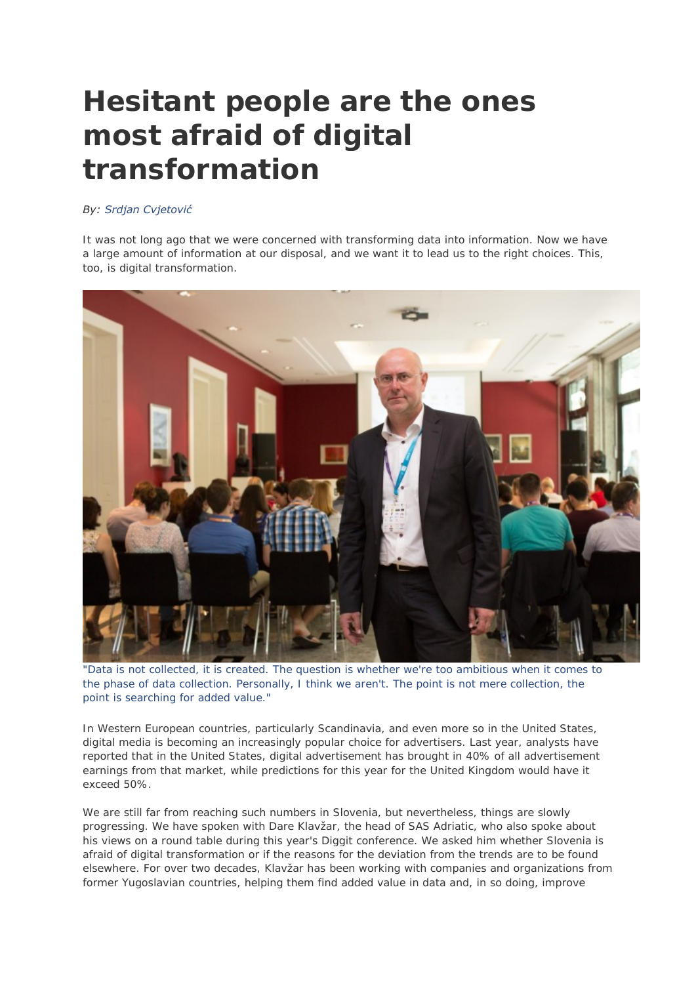# **Hesitant people are the ones most afraid of digital transformation**

# *By: Srdjan Cvjetović*

It was not long ago that we were concerned with transforming data into information. Now we have a large amount of information at our disposal, and we want it to lead us to the right choices. This, too, is digital transformation.



"Data is not collected, it is created. The question is whether we're too ambitious when it comes to the phase of data collection. Personally, I think we aren't. The point is not mere collection, the point is searching for added value."

In Western European countries, particularly Scandinavia, and even more so in the United States, digital media is becoming an increasingly popular choice for advertisers. Last year, analysts have reported that in the United States, digital advertisement has brought in 40% of all advertisement earnings from that market, while predictions for this year for the United Kingdom would have it exceed 50%.

We are still far from reaching such numbers in Slovenia, but nevertheless, things are slowly progressing. We have spoken with Dare Klavžar, the head of SAS Adriatic, who also spoke about his views on a round table during this year's Diggit conference. We asked him whether Slovenia is afraid of digital transformation or if the reasons for the deviation from the trends are to be found elsewhere. For over two decades, Klavžar has been working with companies and organizations from former Yugoslavian countries, helping them find added value in data and, in so doing, improve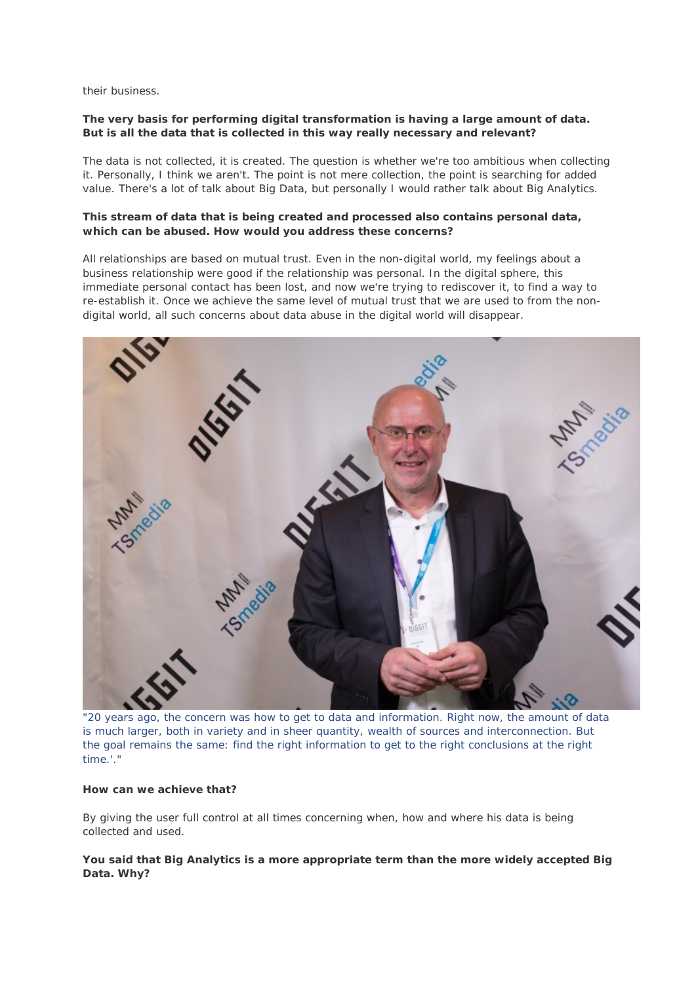their business.

### **The very basis for performing digital transformation is having a large amount of data. But is all the data that is collected in this way really necessary and relevant?**

The data is not collected, it is created. The question is whether we're too ambitious when collecting it. Personally, I think we aren't. The point is not mere collection, the point is searching for added value. There's a lot of talk about Big Data, but personally I would rather talk about Big Analytics.

#### **This stream of data that is being created and processed also contains personal data, which can be abused. How would you address these concerns?**

All relationships are based on mutual trust. Even in the non-digital world, my feelings about a business relationship were good if the relationship was personal. In the digital sphere, this immediate personal contact has been lost, and now we're trying to rediscover it, to find a way to re-establish it. Once we achieve the same level of mutual trust that we are used to from the nondigital world, all such concerns about data abuse in the digital world will disappear.



"20 years ago, the concern was how to get to data and information. Right now, the amount of data is much larger, both in variety and in sheer quantity, wealth of sources and interconnection. But the goal remains the same: find the right information to get to the right conclusions at the right time.'."

#### **How can we achieve that?**

By giving the user full control at all times concerning when, how and where his data is being collected and used.

**You said that Big Analytics is a more appropriate term than the more widely accepted Big Data. Why?**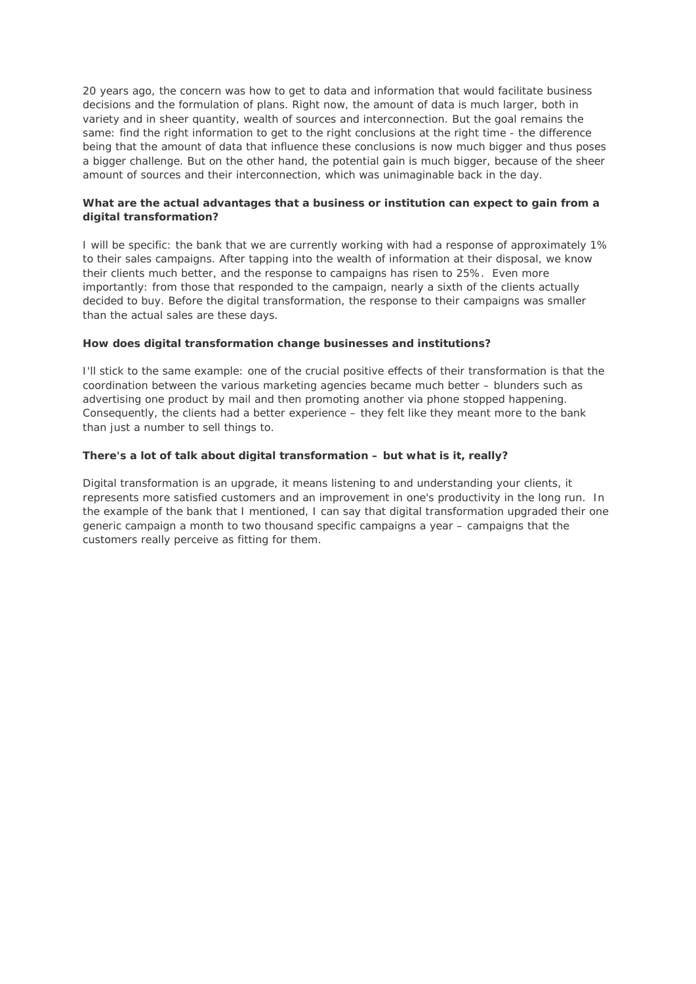20 years ago, the concern was how to get to data and information that would facilitate business decisions and the formulation of plans. Right now, the amount of data is much larger, both in variety and in sheer quantity, wealth of sources and interconnection. But the goal remains the same: find the right information to get to the right conclusions at the right time - the difference being that the amount of data that influence these conclusions is now much bigger and thus poses a bigger challenge. But on the other hand, the potential gain is much bigger, because of the sheer amount of sources and their interconnection, which was unimaginable back in the day.

# **What are the actual advantages that a business or institution can expect to gain from a digital transformation?**

I will be specific: the bank that we are currently working with had a response of approximately 1% to their sales campaigns. After tapping into the wealth of information at their disposal, we know their clients much better, and the response to campaigns has risen to 25%. Even more importantly: from those that responded to the campaign, nearly a sixth of the clients actually decided to buy. Before the digital transformation, the response to their campaigns was smaller than the actual sales are these days.

# **How does digital transformation change businesses and institutions?**

I'll stick to the same example: one of the crucial positive effects of their transformation is that the coordination between the various marketing agencies became much better – blunders such as advertising one product by mail and then promoting another via phone stopped happening. Consequently, the clients had a better experience – they felt like they meant more to the bank than just a number to sell things to.

#### **There's a lot of talk about digital transformation – but what is it, really?**

Digital transformation is an upgrade, it means listening to and understanding your clients, it represents more satisfied customers and an improvement in one's productivity in the long run. In the example of the bank that I mentioned, I can say that digital transformation upgraded their one generic campaign a month to two thousand specific campaigns a year – campaigns that the customers really perceive as fitting for them.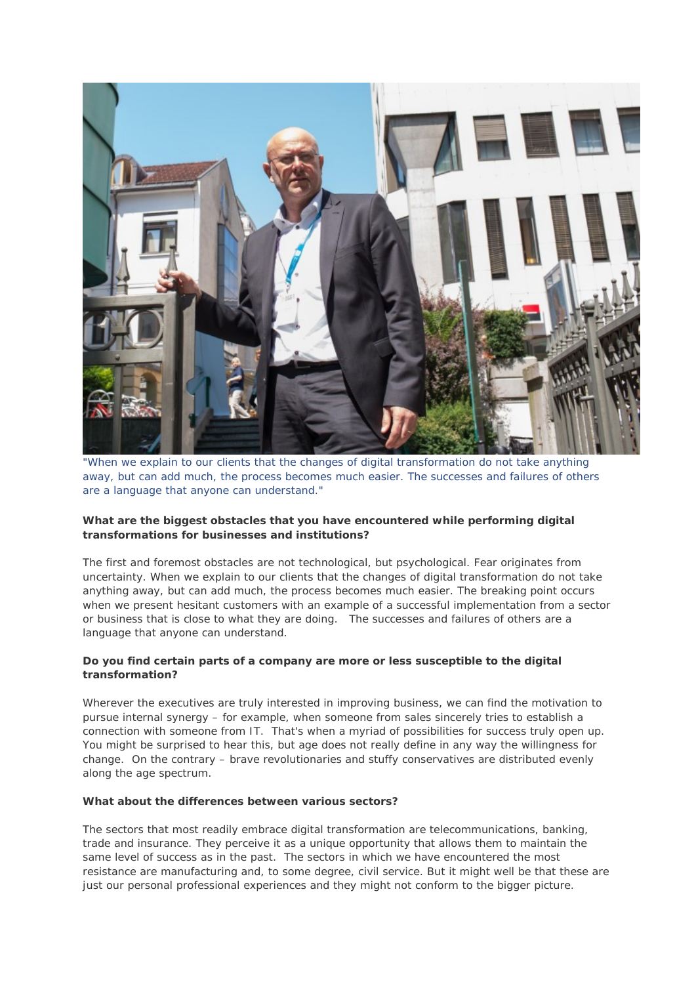

"When we explain to our clients that the changes of digital transformation do not take anything away, but can add much, the process becomes much easier. The successes and failures of others are a language that anyone can understand."

# **What are the biggest obstacles that you have encountered while performing digital transformations for businesses and institutions?**

The first and foremost obstacles are not technological, but psychological. Fear originates from uncertainty. When we explain to our clients that the changes of digital transformation do not take anything away, but can add much, the process becomes much easier. The breaking point occurs when we present hesitant customers with an example of a successful implementation from a sector or business that is close to what they are doing. The successes and failures of others are a language that anyone can understand.

# **Do you find certain parts of a company are more or less susceptible to the digital transformation?**

Wherever the executives are truly interested in improving business, we can find the motivation to pursue internal synergy – for example, when someone from sales sincerely tries to establish a connection with someone from IT. That's when a myriad of possibilities for success truly open up. You might be surprised to hear this, but age does not really define in any way the willingness for change. On the contrary – brave revolutionaries and stuffy conservatives are distributed evenly along the age spectrum.

#### **What about the differences between various sectors?**

The sectors that most readily embrace digital transformation are telecommunications, banking, trade and insurance. They perceive it as a unique opportunity that allows them to maintain the same level of success as in the past. The sectors in which we have encountered the most resistance are manufacturing and, to some degree, civil service. But it might well be that these are just our personal professional experiences and they might not conform to the bigger picture.